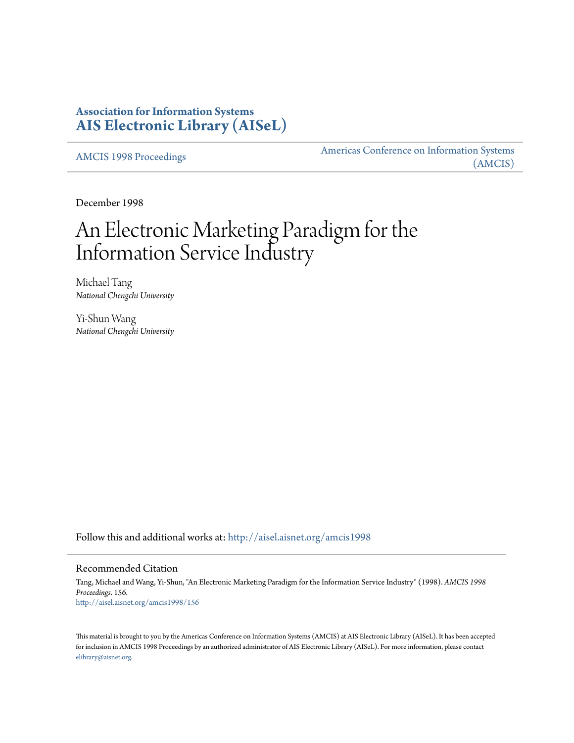# **Association for Information Systems [AIS Electronic Library \(AISeL\)](http://aisel.aisnet.org?utm_source=aisel.aisnet.org%2Famcis1998%2F156&utm_medium=PDF&utm_campaign=PDFCoverPages)**

[AMCIS 1998 Proceedings](http://aisel.aisnet.org/amcis1998?utm_source=aisel.aisnet.org%2Famcis1998%2F156&utm_medium=PDF&utm_campaign=PDFCoverPages)

[Americas Conference on Information Systems](http://aisel.aisnet.org/amcis?utm_source=aisel.aisnet.org%2Famcis1998%2F156&utm_medium=PDF&utm_campaign=PDFCoverPages) [\(AMCIS\)](http://aisel.aisnet.org/amcis?utm_source=aisel.aisnet.org%2Famcis1998%2F156&utm_medium=PDF&utm_campaign=PDFCoverPages)

December 1998

# An Electronic Marketing Paradigm for the Information Service Industry

Michael Tang *National Chengchi University*

Yi-Shun Wang *National Chengchi University*

Follow this and additional works at: [http://aisel.aisnet.org/amcis1998](http://aisel.aisnet.org/amcis1998?utm_source=aisel.aisnet.org%2Famcis1998%2F156&utm_medium=PDF&utm_campaign=PDFCoverPages)

# Recommended Citation

Tang, Michael and Wang, Yi-Shun, "An Electronic Marketing Paradigm for the Information Service Industry" (1998). *AMCIS 1998 Proceedings*. 156. [http://aisel.aisnet.org/amcis1998/156](http://aisel.aisnet.org/amcis1998/156?utm_source=aisel.aisnet.org%2Famcis1998%2F156&utm_medium=PDF&utm_campaign=PDFCoverPages)

This material is brought to you by the Americas Conference on Information Systems (AMCIS) at AIS Electronic Library (AISeL). It has been accepted for inclusion in AMCIS 1998 Proceedings by an authorized administrator of AIS Electronic Library (AISeL). For more information, please contact [elibrary@aisnet.org.](mailto:elibrary@aisnet.org%3E)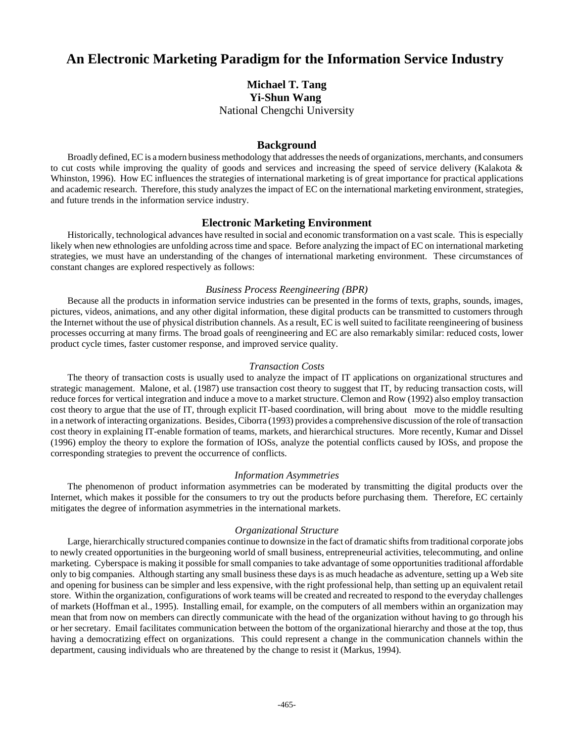# **An Electronic Marketing Paradigm for the Information Service Industry**

**Michael T. Tang Yi-Shun Wang**  National Chengchi University

### **Background**

Broadly defined, EC is a modern business methodology that addresses the needs of organizations, merchants, and consumers to cut costs while improving the quality of goods and services and increasing the speed of service delivery (Kalakota & Whinston, 1996). How EC influences the strategies of international marketing is of great importance for practical applications and academic research. Therefore, this study analyzes the impact of EC on the international marketing environment, strategies, and future trends in the information service industry.

#### **Electronic Marketing Environment**

Historically, technological advances have resulted in social and economic transformation on a vast scale. This is especially likely when new ethnologies are unfolding across time and space. Before analyzing the impact of EC on international marketing strategies, we must have an understanding of the changes of international marketing environment. These circumstances of constant changes are explored respectively as follows:

#### *Business Process Reengineering (BPR)*

Because all the products in information service industries can be presented in the forms of texts, graphs, sounds, images, pictures, videos, animations, and any other digital information, these digital products can be transmitted to customers through the Internet without the use of physical distribution channels. As a result, EC is well suited to facilitate reengineering of business processes occurring at many firms. The broad goals of reengineering and EC are also remarkably similar: reduced costs, lower product cycle times, faster customer response, and improved service quality.

#### *Transaction Costs*

The theory of transaction costs is usually used to analyze the impact of IT applications on organizational structures and strategic management. Malone, et al. (1987) use transaction cost theory to suggest that IT, by reducing transaction costs, will reduce forces for vertical integration and induce a move to a market structure. Clemon and Row (1992) also employ transaction cost theory to argue that the use of IT, through explicit IT-based coordination, will bring about move to the middle resulting in a network of interacting organizations. Besides, Ciborra (1993) provides a comprehensive discussion of the role of transaction cost theory in explaining IT-enable formation of teams, markets, and hierarchical structures. More recently, Kumar and Dissel (1996) employ the theory to explore the formation of IOSs, analyze the potential conflicts caused by IOSs, and propose the corresponding strategies to prevent the occurrence of conflicts.

#### *Information Asymmetries*

The phenomenon of product information asymmetries can be moderated by transmitting the digital products over the Internet, which makes it possible for the consumers to try out the products before purchasing them. Therefore, EC certainly mitigates the degree of information asymmetries in the international markets.

## *Organizational Structure*

Large, hierarchically structured companies continue to downsize in the fact of dramatic shifts from traditional corporate jobs to newly created opportunities in the burgeoning world of small business, entrepreneurial activities, telecommuting, and online marketing. Cyberspace is making it possible for small companies to take advantage of some opportunities traditional affordable only to big companies. Although starting any small business these days is as much headache as adventure, setting up a Web site and opening for business can be simpler and less expensive, with the right professional help, than setting up an equivalent retail store. Within the organization, configurations of work teams will be created and recreated to respond to the everyday challenges of markets (Hoffman et al., 1995). Installing email, for example, on the computers of all members within an organization may mean that from now on members can directly communicate with the head of the organization without having to go through his or her secretary. Email facilitates communication between the bottom of the organizational hierarchy and those at the top, thus having a democratizing effect on organizations. This could represent a change in the communication channels within the department, causing individuals who are threatened by the change to resist it (Markus, 1994).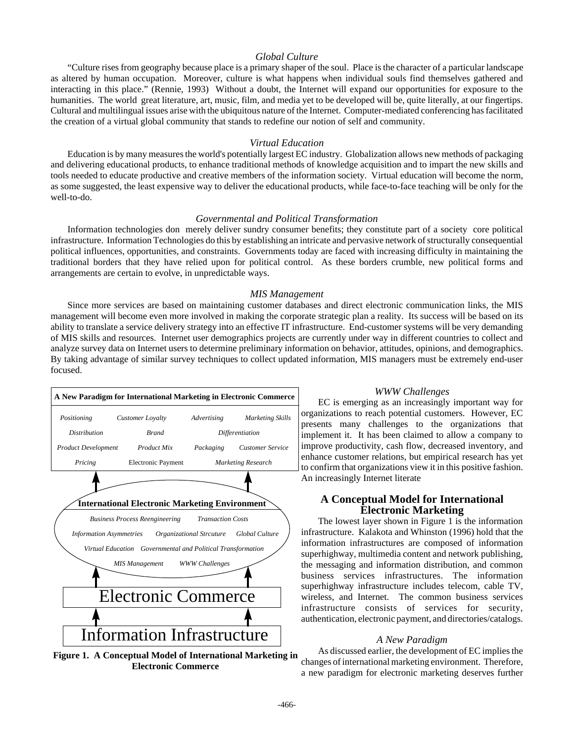## *Global Culture*

"Culture rises from geography because place is a primary shaper of the soul. Place is the character of a particular landscape as altered by human occupation. Moreover, culture is what happens when individual souls find themselves gathered and interacting in this place." (Rennie, 1993) Without a doubt, the Internet will expand our opportunities for exposure to the humanities. The world great literature, art, music, film, and media yet to be developed will be, quite literally, at our fingertips. Cultural and multilingual issues arise with the ubiquitous nature of the Internet. Computer-mediated conferencing has facilitated the creation of a virtual global community that stands to redefine our notion of self and community.

#### *Virtual Education*

Education is by many measures the world's potentially largest EC industry. Globalization allows new methods of packaging and delivering educational products, to enhance traditional methods of knowledge acquisition and to impart the new skills and tools needed to educate productive and creative members of the information society. Virtual education will become the norm, as some suggested, the least expensive way to deliver the educational products, while face-to-face teaching will be only for the well-to-do.

#### *Governmental and Political Transformation*

Information technologies don merely deliver sundry consumer benefits; they constitute part of a society core political infrastructure. Information Technologies do this by establishing an intricate and pervasive network of structurally consequential political influences, opportunities, and constraints. Governments today are faced with increasing difficulty in maintaining the traditional borders that they have relied upon for political control. As these borders crumble, new political forms and arrangements are certain to evolve, in unpredictable ways.

#### *MIS Management*

Since more services are based on maintaining customer databases and direct electronic communication links, the MIS management will become even more involved in making the corporate strategic plan a reality. Its success will be based on its ability to translate a service delivery strategy into an effective IT infrastructure. End-customer systems will be very demanding of MIS skills and resources. Internet user demographics projects are currently under way in different countries to collect and analyze survey data on Internet users to determine preliminary information on behavior, attitudes, opinions, and demographics. By taking advantage of similar survey techniques to collect updated information, MIS managers must be extremely end-user focused.



**Figure 1. A Conceptual Model of International Marketing in Electronic Commerce**

#### *WWW Challenges*

EC is emerging as an increasingly important way for organizations to reach potential customers. However, EC presents many challenges to the organizations that implement it. It has been claimed to allow a company to improve productivity, cash flow, decreased inventory, and enhance customer relations, but empirical research has yet to confirm that organizations view it in this positive fashion. An increasingly Internet literate

#### **A Conceptual Model for International Electronic Marketing**

The lowest layer shown in Figure 1 is the information infrastructure. Kalakota and Whinston (1996) hold that the information infrastructures are composed of information superhighway, multimedia content and network publishing, the messaging and information distribution, and common business services infrastructures. The information superhighway infrastructure includes telecom, cable TV, wireless, and Internet. The common business services infrastructure consists of services for security, authentication, electronic payment, and directories/catalogs.

#### *A New Paradigm*

As discussed earlier, the development of EC implies the changes of international marketing environment. Therefore, a new paradigm for electronic marketing deserves further